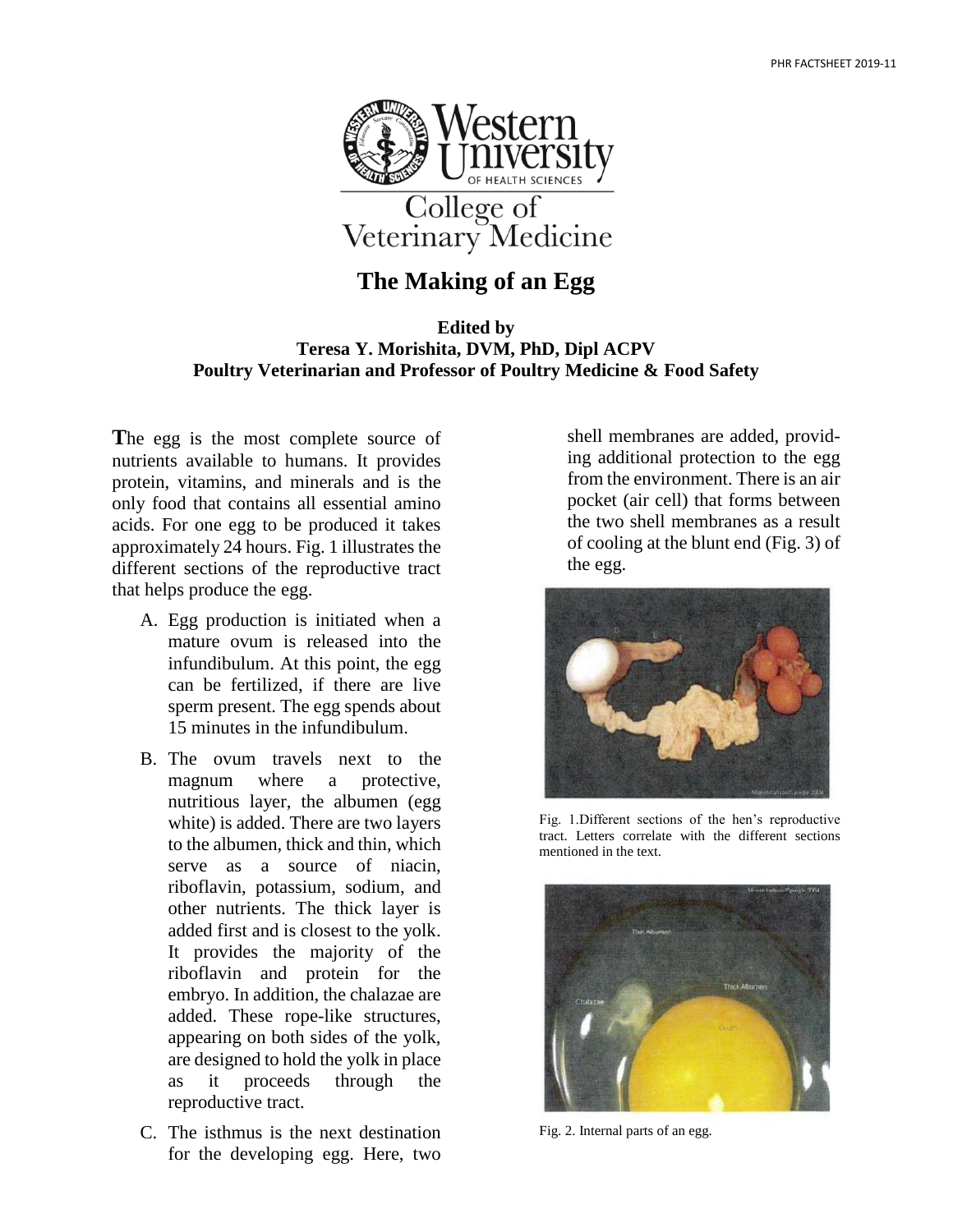

## **The Making of an Egg**

## **Edited by Teresa Y. Morishita, DVM, PhD, Dipl ACPV Poultry Veterinarian and Professor of Poultry Medicine & Food Safety**

**T**he egg is the most complete source of nutrients available to humans. It provides protein, vitamins, and minerals and is the only food that contains all essential amino acids. For one egg to be produced it takes approximately 24 hours. Fig. 1 illustrates the different sections of the reproductive tract that helps produce the egg.

- A. Egg production is initiated when a mature ovum is released into the infundibulum. At this point, the egg can be fertilized, if there are live sperm present. The egg spends about 15 minutes in the infundibulum.
- B. The ovum travels next to the magnum where a protective, nutritious layer, the albumen (egg white) is added. There are two layers to the albumen, thick and thin, which serve as a source of niacin, riboflavin, potassium, sodium, and other nutrients. The thick layer is added first and is closest to the yolk. It provides the majority of the riboflavin and protein for the embryo. In addition, the chalazae are added. These rope-like structures, appearing on both sides of the yolk, are designed to hold the yolk in place as it proceeds through the reproductive tract.
- C. The isthmus is the next destination for the developing egg. Here, two

shell membranes are added, providing additional protection to the egg from the environment. There is an air pocket (air cell) that forms between the two shell membranes as a result of cooling at the blunt end (Fig. 3) of the egg.



Fig. 1.Different sections of the hen's reproductive tract. Letters correlate with the different sections mentioned in the text.



Fig. 2. Internal parts of an egg.